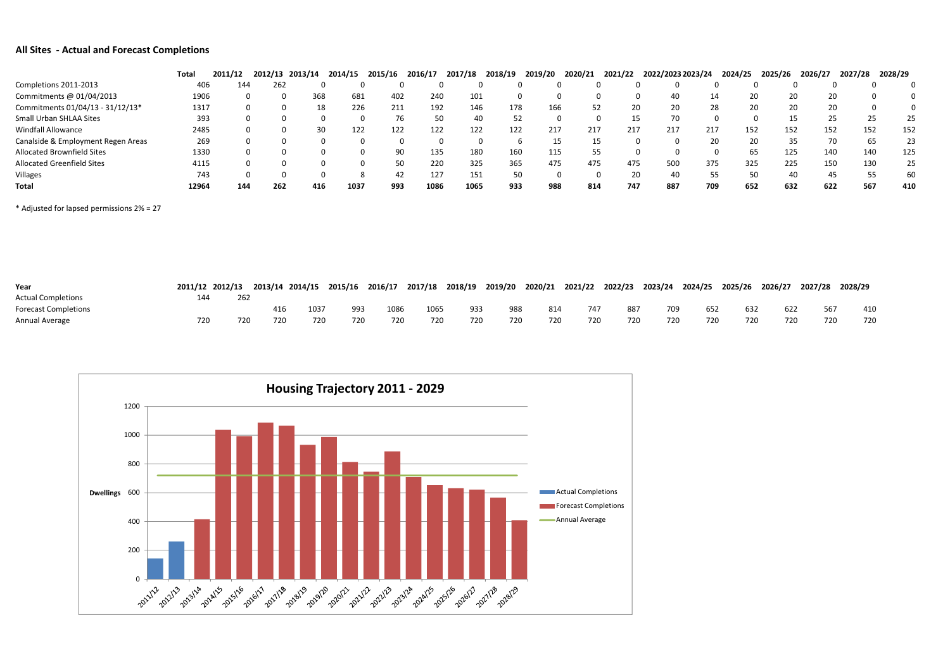## **All Sites ‐ Actual and Forecast Completions**

|                                    | Total | 2011/12 | 2012/13 | 2013/14 | 2014/15 | 2015/16 | 2016/17 | 2017/18 | 2018/19 | 2019/20 | 2020/21 | 2021/22 | 2022/2023 2023/24 |     | 2024/25 | 2025/26 | 2026/27 | 2027/28 | 2028/29 |     |
|------------------------------------|-------|---------|---------|---------|---------|---------|---------|---------|---------|---------|---------|---------|-------------------|-----|---------|---------|---------|---------|---------|-----|
| Completions 2011-2013              | 406   | 144.    | 262     |         |         |         |         |         |         |         |         |         |                   |     |         |         |         |         |         |     |
| Commitments @ 01/04/2013           | 1906  |         |         | 368     | 681     | 402     | 240     | 101     |         |         |         |         |                   |     | 20      |         | 20      | 20      |         |     |
| Commitments 01/04/13 - 31/12/13*   | 1317  |         |         | 18      | 226     | 211     | 192     | 146     | 178     | 166     | 52      | 20      | 20                | 28  |         | 20      | 20      | 20      |         |     |
| Small Urban SHLAA Sites            | 393   |         |         |         |         | 76      |         | 40      | 52      |         |         |         |                   |     |         |         |         | 25      |         | 25  |
| Windfall Allowance                 | 2485  |         |         |         | 122     | 122     | 122     | 122     | 122     | 217     | 217     | 217     | 217               | 217 | 152     | 152     |         | 152     | 152     | 152 |
| Canalside & Employment Regen Areas | 269   |         |         |         |         |         |         |         |         |         |         |         |                   | 20  |         | 35      |         | 70      |         | 23  |
| <b>Allocated Brownfield Sites</b>  | 1330  |         |         |         |         | 90      | 135     | 180     | 160     | 115     | 55      |         |                   |     | 65      | 125     |         | 140     | 140     | 125 |
| <b>Allocated Greenfield Sites</b>  | 4115  |         |         |         |         | 50      | 220     | 325     | 365     | 475     | 475     | 475     | 50C               | 375 | 325     | 225     |         | 150     | 130     | 25  |
| Villages                           | 743   |         |         |         |         | 42      | 127     | 151     | 50      |         |         | 20      | 40                | 55  |         | 50      | 40      | 45      |         | 60  |
| Total                              | 12964 | 144     | 262     | 416     | 1037    | 993     | 1086    | 1065    | 933     | 988     | 814     | 747     | 887               | 709 | 652     | 632     | 622     | 567     |         | 410 |

\* Adjusted for lapsed permissions 2% <sup>=</sup> 27

| Year                        |     | 2011/12 2012/13 |     | 2013/14 2014/15 | 2015/16 | 2016/17 | 2017/18 | 2018/19 | 2019/20 | 2020/21 | 2021/22 | 2022/23 | 2023/24 | 2024/25 | 2025/26 | 2026/27 | 2027/28 | 2028/29 |
|-----------------------------|-----|-----------------|-----|-----------------|---------|---------|---------|---------|---------|---------|---------|---------|---------|---------|---------|---------|---------|---------|
| <b>Actual Completions</b>   | 144 | 262             |     |                 |         |         |         |         |         |         |         |         |         |         |         |         |         |         |
| <b>Forecast Completions</b> |     |                 |     | 1037            | 993     | 1086    | 1065    | 933     | 988     | 814     | 747     | 887     | 709     | 652     | 632     | 622     |         | 410     |
| Annual Average              | 720 | 720             | 720 | 720             | 720     | 720     | 720     | 720     | 720     | 720     | 720     | 720     | 720     | 720     | 720     | 720     | 720     | 720     |

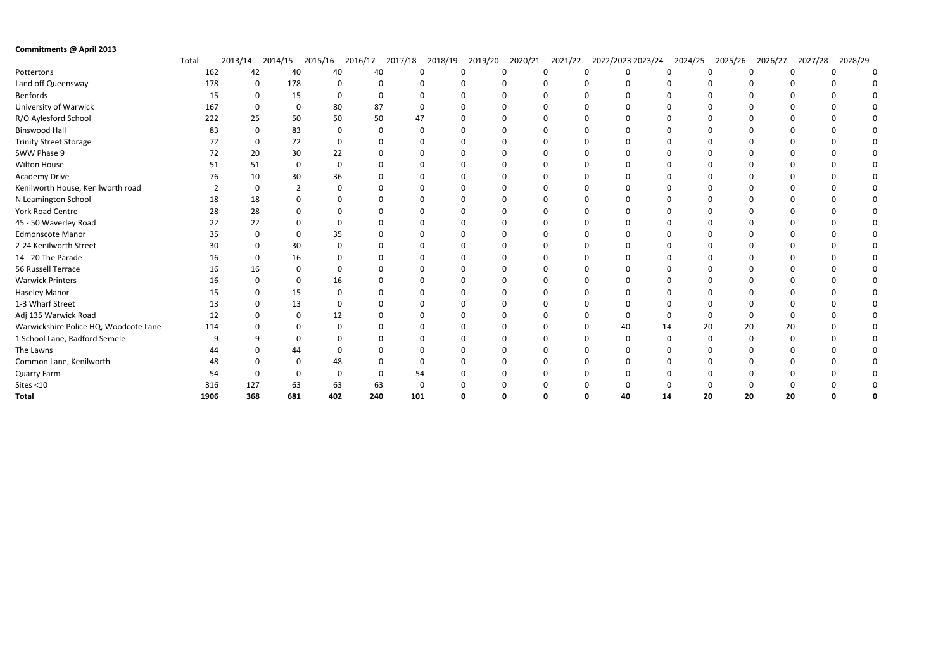| Commitments @ April 2013              |       |      |          |         |              |          |          |         |              |         |         |   |                   |         |          |         |         |         |  |
|---------------------------------------|-------|------|----------|---------|--------------|----------|----------|---------|--------------|---------|---------|---|-------------------|---------|----------|---------|---------|---------|--|
|                                       | Total |      | 2013/14  | 2014/15 | 2015/16      | 2016/17  | 2017/18  | 2018/19 | 2019/20      | 2020/21 | 2021/22 |   | 2022/2023 2023/24 | 2024/25 | 2025/26  | 2026/27 | 2027/28 | 2028/29 |  |
| Pottertons                            |       | 162  | 42       |         | 40           | 40       | 40       | 0       | $\Omega$     | ∩       |         | 0 | $\Omega$          |         | O        |         | n       |         |  |
| Land off Queensway                    |       | 178  | 0        | 178     |              |          | $\Omega$ |         |              |         |         |   |                   |         |          |         |         |         |  |
| Benfords                              |       | 15   |          | 0       | 15           | $\Omega$ | $\Omega$ |         |              |         |         |   | $\Omega$          |         |          |         |         |         |  |
| University of Warwick                 |       | 167  |          |         | $\mathbf 0$  | 80       | 87       |         |              |         |         |   |                   |         |          |         |         |         |  |
| R/O Aylesford School                  |       | 222  | 25       |         | 50           | 50       | 50       | 47      |              |         |         |   | 0                 |         |          |         |         |         |  |
| <b>Binswood Hall</b>                  |       | 83   | $\Omega$ |         | 83           | $\Omega$ | $\Omega$ |         | $\Omega$     |         |         |   | $\Omega$          |         |          |         |         |         |  |
| <b>Trinity Street Storage</b>         |       | 72   |          | 0       | 72           |          |          |         |              |         |         |   |                   |         |          |         |         |         |  |
| SWW Phase 9                           |       | 72   | 20       |         | 30           | 22       |          |         | <sup>0</sup> |         |         |   | $\Omega$          |         | ŋ        |         |         |         |  |
| <b>Wilton House</b>                   |       | 51   | 51       |         | $\mathbf 0$  |          |          |         |              |         |         |   |                   |         |          |         |         |         |  |
| <b>Academy Drive</b>                  |       | 76   | 10       |         | 30           | 36       |          |         | $\Omega$     |         |         |   | $\Omega$          |         |          |         |         |         |  |
| Kenilworth House, Kenilworth road     |       |      |          |         |              |          |          |         |              |         |         |   |                   |         |          |         |         |         |  |
| N Leamington School                   |       | 18   | 18       |         |              |          |          |         | <sup>0</sup> |         |         |   | 0                 |         |          |         |         |         |  |
| <b>York Road Centre</b>               |       | 28   | 28       |         |              |          |          |         |              |         |         |   |                   |         |          |         |         |         |  |
| 45 - 50 Waverley Road                 |       | 22   | 22       |         |              |          |          |         |              |         |         |   |                   |         |          |         |         |         |  |
| <b>Edmonscote Manor</b>               |       | 35   |          |         | 0            | 35       |          |         |              |         |         |   |                   |         |          |         |         |         |  |
| 2-24 Kenilworth Street                |       | 30   |          |         | 30           |          |          |         |              |         |         |   |                   |         |          |         |         |         |  |
| 14 - 20 The Parade                    |       | 16   |          |         | 16           |          |          |         |              |         |         |   |                   |         |          |         |         |         |  |
| 56 Russell Terrace                    |       | 16   | 16       |         |              |          |          |         |              |         |         |   |                   |         |          |         |         |         |  |
| <b>Warwick Printers</b>               |       | 16   |          |         | $\Omega$     | 16       |          |         | ∩            |         |         |   | 0                 |         |          |         |         |         |  |
| <b>Haseley Manor</b>                  |       | 15   |          |         | 15           |          |          |         |              |         |         |   | $\Omega$          |         |          |         |         |         |  |
| 1-3 Wharf Street                      |       | 13   |          |         | 13           |          |          |         | <sup>0</sup> |         |         |   | 0                 |         |          |         |         |         |  |
| Adj 135 Warwick Road                  |       | 12   |          |         | $\Omega$     | 12       |          |         | $\Omega$     |         |         |   | $\Omega$          |         | 0        |         |         |         |  |
| Warwickshire Police HQ, Woodcote Lane |       | 114  |          |         | 0            |          |          |         |              |         |         |   | 40                | 14      | 20       | 20      | 20      |         |  |
| 1 School Lane, Radford Semele         |       | ٩    | q        |         | $\Omega$     |          |          |         | $\Omega$     |         |         |   | $\Omega$          |         | $\Omega$ |         |         |         |  |
| The Lawns                             |       |      |          |         | 44           |          |          |         |              |         |         |   |                   |         |          |         |         |         |  |
| Common Lane, Kenilworth               |       | 48   |          |         | <sup>0</sup> | 48       |          |         |              |         |         |   | $\Omega$          |         |          |         |         |         |  |
| Quarry Farm                           |       | 54   |          |         | $\Omega$     |          |          | 54      |              |         |         |   |                   |         |          |         |         |         |  |
| Sites $<$ 10                          |       | 316  | 127      |         | 63           | 63       | 63       |         |              |         |         |   | $\Omega$          |         |          |         |         |         |  |
| <b>Total</b>                          |       | 1906 | 368      | 681     |              | 402      | 240      | 101     |              |         |         |   | 40                | 14      | 20       | 20      | 20      |         |  |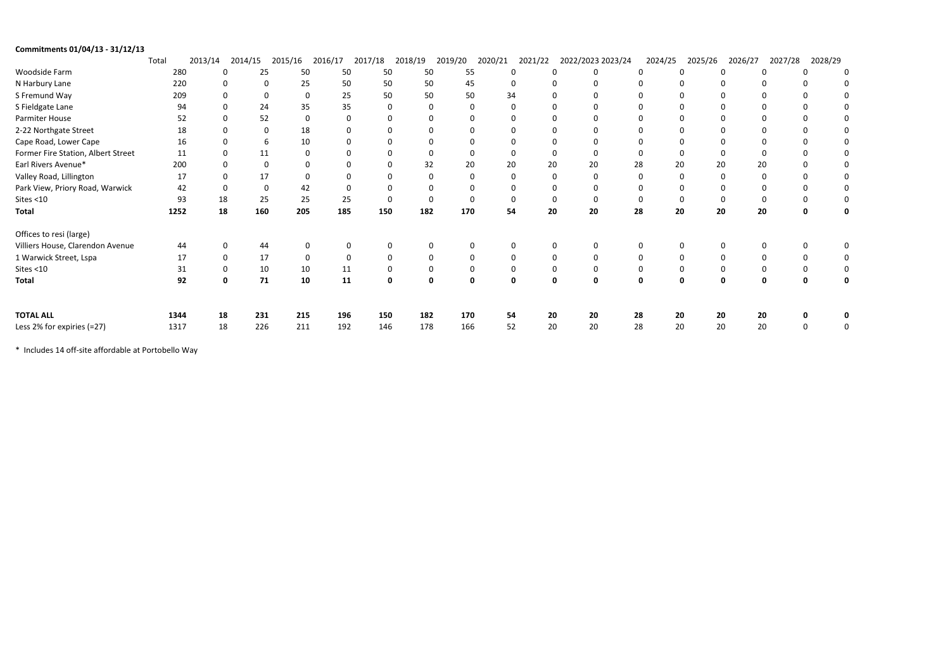| Commitments 01/04/13 - 31/12/13    |       |                |               |                   |             |         |              |          |          |             |             |                   |         |          |         |         |         |          |             |
|------------------------------------|-------|----------------|---------------|-------------------|-------------|---------|--------------|----------|----------|-------------|-------------|-------------------|---------|----------|---------|---------|---------|----------|-------------|
|                                    | Total | 2013/14        | 2014/15       | 2015/16           | 2016/17     | 2017/18 | 2018/19      | 2019/20  | 2020/21  | 2021/22     |             | 2022/2023 2023/24 | 2024/25 |          | 2025/26 | 2026/27 | 2027/28 | 2028/29  |             |
| Woodside Farm                      | 280   | $\mathbf 0$    | 25            | 50                | 50          | 50      | 50           | 55       |          | $\mathbf 0$ | $\mathbf 0$ |                   |         | $\Omega$ |         |         |         | $\Omega$ | 0           |
| N Harbury Lane                     | 220   |                | $\Omega$<br>0 | 25                | 50          | 50      | 50           | 45       |          | $\mathbf 0$ |             |                   |         |          |         |         |         |          |             |
| S Fremund Way                      | 209   | 0              |               |                   | 25<br>0     | 50      | 50           | 50       | 34       |             |             |                   |         |          |         |         |         |          |             |
| S Fieldgate Lane                   | 94    | $\Omega$       | 24            | 35                | 35          |         |              | $\Omega$ |          | 0           | $\Omega$    |                   |         |          |         |         |         |          | 0           |
| Parmiter House                     | 52    | $\Omega$       | 52            |                   | 0           | 0       |              |          |          |             |             |                   |         |          |         |         |         |          | 0           |
| 2-22 Northgate Street              |       | 18<br>$\Omega$ | $\Omega$      | 18                |             |         |              |          |          |             | 0           |                   |         |          |         |         |         |          | 0           |
| Cape Road, Lower Cape              | 16    |                | 6             | 10                |             |         |              |          |          |             | 0           |                   |         |          |         |         |         |          | 0           |
| Former Fire Station, Albert Street | 11    | $\Omega$       | 11            |                   | $\Omega$    |         |              | $\Omega$ |          | 0           | $\Omega$    |                   |         |          |         |         |         |          | 0           |
| Earl Rivers Avenue*                | 200   | $\Omega$       |               | $\Omega$          |             |         | 32           | 20       | 20       |             | 20<br>20    |                   | 28      | 20       | 20      | 20      |         |          | 0           |
| Valley Road, Lillington            | 17    | $\Omega$       | 17            |                   | $\Omega$    |         |              | $\Omega$ |          | $\mathbf 0$ | $\Omega$    |                   |         |          |         |         |         |          | 0           |
| Park View, Priory Road, Warwick    | 42    | $\Omega$       |               | 42<br>$\mathbf 0$ |             |         |              |          |          |             | 0           |                   |         |          |         |         |         |          | 0           |
| Sites <10                          | 93    | 18             | 25            | 25                | 25          |         | $\Omega$     |          | $\Omega$ |             | $\Omega$    |                   |         |          |         |         |         |          | $\mathbf 0$ |
| <b>Total</b>                       | 1252  | 18             | 160           | 205               | 185         | 150     | 182          | 170      | 54       |             | 20<br>20    |                   | 28      | 20       | 20      | 20      |         | 0        | $\mathbf 0$ |
| Offices to resi (large)            |       |                |               |                   |             |         |              |          |          |             |             |                   |         |          |         |         |         |          |             |
| Villiers House, Clarendon Avenue   | 44    | $\mathbf 0$    | 44            |                   |             |         |              |          |          | 0           | 0           |                   |         | $\Omega$ |         |         |         |          | $\mathbf 0$ |
| 1 Warwick Street, Lspa             | 17    | $\mathbf 0$    | 17            |                   | $\mathbf 0$ | 0       |              | $\Omega$ |          | $\mathbf 0$ | $\mathbf 0$ |                   |         | $\Omega$ |         |         |         |          | 0           |
| Sites $<$ 10                       | 31    |                | 10<br>0       | 10                | 11          |         |              |          |          | $\mathbf 0$ | 0           |                   |         |          |         |         |         |          | $\mathbf 0$ |
| <b>Total</b>                       | 92    | $\mathbf{0}$   | 71            | 10                | 11          |         | <sup>0</sup> | ŋ<br>n   |          | 0           | $\mathbf 0$ | 0                 | 0       | 0        |         |         |         | n        | $\mathbf 0$ |
| <b>TOTAL ALL</b>                   | 1344  | 18             | 231           | 215               | 196         | 150     | 182          | 170      | 54       |             | 20<br>20    |                   | 28      | 20       | 20      | 20      |         |          | 0           |
| Less 2% for expiries (=27)         | 1317  | 18             | 226           | 211               | 192         | 146     | 178          | 166      | 52       |             | 20<br>20    |                   | 28      | 20       | 20      | 20      |         | $\Omega$ | 0           |

\* Includes 14 off‐site affordable at Portobello Way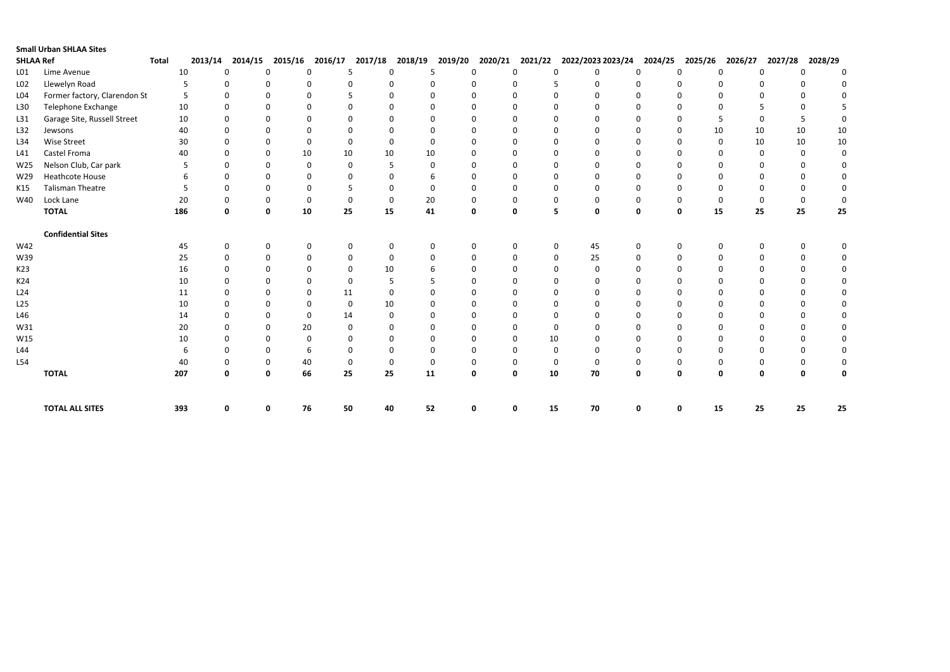|                  | <b>Small Urban SHLAA Sites</b> |              |         |              |                   |                |             |              |              |              |                |                            |              |              |                    |                          |             |
|------------------|--------------------------------|--------------|---------|--------------|-------------------|----------------|-------------|--------------|--------------|--------------|----------------|----------------------------|--------------|--------------|--------------------|--------------------------|-------------|
| <b>SHLAA Ref</b> |                                | <b>Total</b> | 2013/14 | 2014/15      | 2015/16           | 2016/17        | 2017/18     | 2018/19      | 2019/20      | 2020/21      | 2021/22        | 2022/2023 2023/24          | 2024/25      | 2025/26      | 2026/27            | 2027/28                  | 2028/29     |
| L <sub>01</sub>  | Lime Avenue                    |              | 10      | $\Omega$     | $\Omega$          | $\mathbf{0}$   | 5           | $\Omega$     | .5           | $\mathbf{0}$ | $\Omega$       | $\Omega$                   | ∩            | $\Omega$     | $\Omega$           | $\Omega$                 | $\mathbf 0$ |
| L02              | Llewelyn Road                  |              | 5       | $\Omega$     | $\Omega$          | $\Omega$       | 0           | $\Omega$     | $\Omega$     | $\mathbf{0}$ | 0              | $\Omega$                   | $\Omega$     | <sup>0</sup> | $\Omega$           | $\Omega$                 | $\Omega$    |
| L <sub>04</sub>  | Former factory, Clarendon St   |              | 5       | $\Omega$     | $\Omega$          | $\Omega$       |             | $\Omega$     | $\Omega$     | $\mathbf{0}$ | $\Omega$       | $\Omega$                   | $\Omega$     |              | $\Omega$           | <sup>0</sup>             |             |
| L30              | Telephone Exchange             |              | 10      | $\Omega$     |                   | $\Omega$       | O           | $\Omega$     |              | $\Omega$     | $\Omega$       | $\Omega$                   | $\Omega$     |              | $\Omega$           |                          | 5           |
| L31              | Garage Site, Russell Street    |              | 10      | $\Omega$     |                   | $\Omega$       |             | $\Omega$     |              | $\Omega$     |                |                            | <sup>0</sup> |              | .5                 | 5                        | $\Omega$    |
| L32              | Jewsons                        |              | 40      |              |                   | $\Omega$       |             | $\Omega$     |              | $\Omega$     |                |                            | 0            |              | 10<br>10           | 10                       | $10\,$      |
| L34              | Wise Street                    |              | 30      | $\Omega$     | $\Omega$          | $\mathbf 0$    | $\Omega$    | $\Omega$     | $\Omega$     | $\Omega$     | $\Omega$       | $\Omega$                   | $\Omega$     | <sup>0</sup> | $\mathbf{0}$<br>10 | 10                       | $10\,$      |
| L41              | Castel Froma                   |              | 40      | ∩            | 10<br>∩           | 10             |             | 10           | 10           | $\Omega$     |                | ∩                          | <sup>0</sup> |              | $\Omega$           | $\Omega$<br>$\Omega$     | $\mathbf 0$ |
| W25              | Nelson Club, Car park          |              | 5       | $\Omega$     |                   | $\mathbf 0$    | $\Omega$    | .5           | $\mathbf{0}$ | $\Omega$     |                |                            | $\Omega$     |              | $\Omega$           | <sup>0</sup>             | $\mathbf 0$ |
| W29              | <b>Heathcote House</b>         |              | 6       | $\Omega$     |                   | $\Omega$       | $\Omega$    | $\Omega$     |              | $\Omega$     | ∩              | $\Omega$                   | $\Omega$     |              | $\Omega$           |                          | $\mathbf 0$ |
| K15              | <b>Talisman Theatre</b>        |              | 5       | $\Omega$     |                   | $\Omega$       | 5           | $\Omega$     | $\Omega$     | <sup>0</sup> |                | $\Omega$<br>$\Omega$       | $\Omega$     |              | $\Omega$           | <sup>0</sup>             | 0           |
| W40              | Lock Lane                      |              | 20      |              | $\Omega$          | $\mathbf 0$    | $\mathbf 0$ | $\mathbf 0$  | 20           | 0            | 0              | $\Omega$<br>$\Omega$       | $\mathbf 0$  | 0            | $\mathbf 0$        | 0<br>$\Omega$            | $\mathbf 0$ |
|                  | <b>TOTAL</b>                   |              | 186     | $\mathbf{0}$ | 10<br>$\mathbf 0$ | 25             |             | 15           | 41           | $\mathbf{0}$ | $\mathbf{0}$   | 5<br>$\mathbf 0$           | $\mathbf 0$  | $\mathbf{0}$ | 15<br>25           | 25                       | 25          |
|                  | <b>Confidential Sites</b>      |              |         |              |                   |                |             |              |              |              |                |                            |              |              |                    |                          |             |
| W42              |                                |              | 45      | $\Omega$     | $\Omega$          | $\mathbf 0$    | $\Omega$    | $\Omega$     | $\Omega$     | $\Omega$     | $\Omega$       | 45<br>$\mathbf 0$          | $\Omega$     | <sup>0</sup> | $\Omega$           | $\Omega$                 | $\Omega$    |
| W39              |                                |              | 25      | $\Omega$     | $\Omega$          | $\Omega$       | $\Omega$    | $\Omega$     |              | $\Omega$     | ∩              | 25<br>$\Omega$             | $\Omega$     |              | $\Omega$           |                          | 0           |
| K23              |                                |              | 16      |              |                   | $\Omega$       | $\Omega$    | 10           |              | $\Omega$     |                | $\Omega$                   | $\Omega$     |              | $\Omega$           |                          | 0           |
| K24              |                                |              | 10      | ∩            |                   | $\Omega$       | $\Omega$    | .5           |              | $\Omega$     | ∩              | $\Omega$                   | $\Omega$     | ∩            | $\Omega$           |                          | $\mathbf 0$ |
| L24              |                                |              | 11      | ∩            |                   | $\Omega$<br>11 |             | $\Omega$     |              | $\Omega$     |                | $\Omega$<br>∩              | <sup>0</sup> |              | $\Omega$           | <sup>0</sup>             | $\mathbf 0$ |
| L25              |                                |              | 10      |              |                   | $\mathbf{0}$   | $\mathbf 0$ | 10           |              | $\Omega$     |                |                            | $\Omega$     |              | $\Omega$           |                          | $\mathbf 0$ |
| L46              |                                |              | 14      |              |                   | $\Omega$<br>14 |             | $\Omega$     |              | $\Omega$     | ∩              | $\Omega$                   | $\Omega$     |              | $\Omega$           |                          | $\mathbf 0$ |
| W31              |                                |              | 20      |              | ∩                 | 20             | $\Omega$    | $\Omega$     |              | $\Omega$     |                | $\Omega$                   | <sup>0</sup> |              | $\Omega$           |                          | $\Omega$    |
| W15              |                                |              | 10      |              |                   | $\mathbf 0$    | 0           | $\Omega$     |              | $\Omega$     | $\Omega$       | 10                         | $\Omega$     |              | $\Omega$           |                          | $\mathbf 0$ |
| L44              |                                |              | 6       | ∩            | $\Omega$          | 6              | $\Omega$    | $\Omega$     | $\Omega$     | $\Omega$     | $\Omega$       | $\Omega$<br>$\Omega$       | $\Omega$     | <sup>0</sup> | $\Omega$           | <sup>0</sup>             | $\mathbf 0$ |
| L54              |                                |              | 40      | n            | 40<br>$\Omega$    |                | $\Omega$    | $\mathbf{0}$ | $\Omega$     | $\Omega$     | $\Omega$       | $\mathbf 0$<br>$\mathbf 0$ | $\Omega$     |              | $\Omega$           | <sup>0</sup>             | $\mathbf 0$ |
|                  | <b>TOTAL</b>                   | 207          |         | 0            | 66<br>$\mathbf 0$ | 25             |             | 25           | 11           | $\mathbf 0$  | $\mathbf 0$    | 10<br>70                   | $\mathbf 0$  | $\mathbf 0$  | $\mathbf 0$        | $\Omega$<br>$\mathbf{0}$ | 0           |
|                  | <b>TOTAL ALL SITES</b>         | 393          |         | 0            | 76<br>$\mathbf 0$ | 50             |             | 40           | 52           | O            | 15<br>$\Omega$ | 70                         | 0            | O            | 25<br>15           | 25                       | 25          |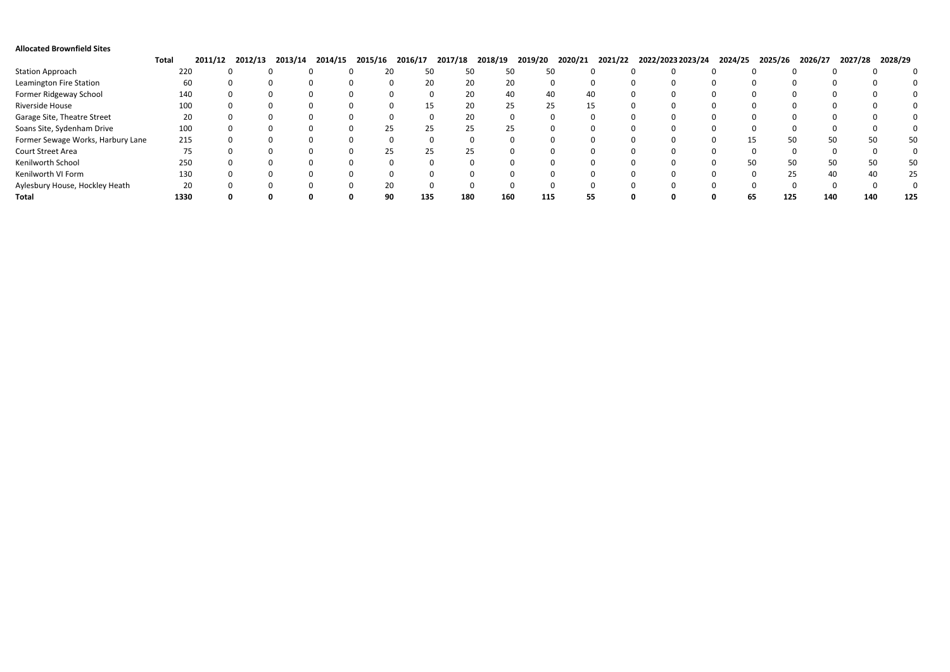| <b>Allocated Brownfield Sites</b> |              |         |         |         |         |         |         |         |         |         |         |              |                   |         |         |         |             |         |     |
|-----------------------------------|--------------|---------|---------|---------|---------|---------|---------|---------|---------|---------|---------|--------------|-------------------|---------|---------|---------|-------------|---------|-----|
|                                   | <b>Total</b> | 2011/12 | 2012/13 | 2013/14 | 2014/15 | 2015/16 | 2016/17 | 2017/18 | 2018/19 | 2019/20 | 2020/21 | 2021/22      | 2022/2023 2023/24 | 2024/25 | 2025/26 | 2026/27 | 2027/28     | 2028/29 |     |
| <b>Station Approach</b>           | 220          |         |         |         |         |         | 50      | 50      |         |         | 50      |              |                   |         |         |         |             |         |     |
| Leamington Fire Station           | 60           |         |         |         |         |         | 20      | 20      | ZU      |         |         |              |                   |         |         |         |             |         |     |
| Former Ridgeway School            | 140          |         |         |         |         |         |         | 20      |         |         | 40      | 40           |                   |         |         |         |             |         |     |
| Riverside House                   | 100          |         |         |         |         |         | 15      | 20      | 25      | 25      |         | 15           |                   |         |         |         |             |         |     |
| Garage Site, Theatre Street       | 20           |         |         |         |         |         |         | 20<br>U |         |         | 0       | $\mathbf{U}$ |                   |         |         |         | -0          |         |     |
| Soans Site, Sydenham Drive        | 100          |         |         |         |         |         | 25      | 25.     |         |         |         |              |                   |         |         |         |             |         |     |
| Former Sewage Works, Harbury Lane | 215          |         |         |         |         |         |         |         |         |         |         |              |                   |         | 50      |         | 50<br>۲Λ    |         | 50  |
| Court Street Area                 | 75           |         |         |         |         | 25.     | 25      | 25.     |         |         |         |              |                   |         |         |         | $^{\prime}$ |         |     |
| Kenilworth School                 | 250          |         |         |         |         |         |         |         |         |         |         |              |                   |         | 50      |         | 50          |         | 50  |
| Kenilworth VI Form                | 130          |         |         |         |         |         |         |         |         |         |         |              |                   |         | 25      |         |             |         | 25  |
| Aylesbury House, Hockley Heath    | 20           |         |         |         |         |         |         | 0       |         |         |         |              |                   |         |         |         |             |         |     |
| Total                             | 1330         |         |         |         |         | 90      | 135     | 180     | 160     | 115     |         | 55           |                   | 65      | 125     | 140     | 140         |         | 125 |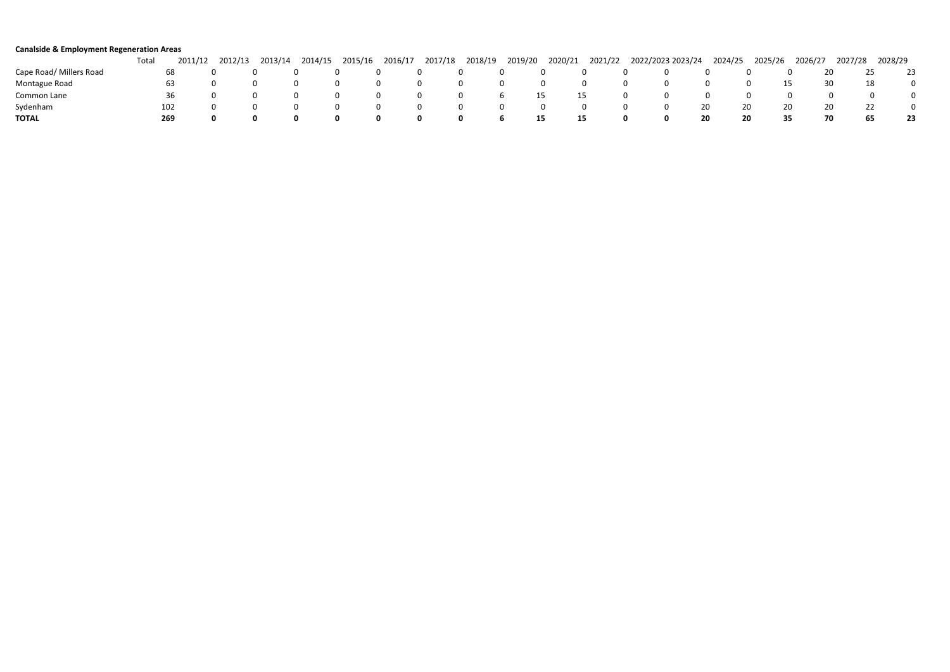| <b>Canalside &amp; Employment Regeneration Areas</b> |       |         |         |         |         |         |         |         |         |         |         |         |                   |         |          |         |         |         |    |
|------------------------------------------------------|-------|---------|---------|---------|---------|---------|---------|---------|---------|---------|---------|---------|-------------------|---------|----------|---------|---------|---------|----|
|                                                      | Total | 2011/12 | 2012/13 | 2013/14 | 2014/15 | 2015/16 | 2016/17 | 2017/18 | 2018/19 | 2019/20 | 2020/21 | 2021/22 | 2022/2023 2023/24 | 2024/25 | 2025/26  | 2026/27 | 2027/28 | 2028/29 |    |
| Cape Road/ Millers Road                              |       |         |         |         |         |         |         |         |         |         |         |         |                   |         |          | ZU      |         |         |    |
| Montague Road                                        |       | 63      |         |         |         |         |         |         |         |         |         |         |                   |         | 15       | -30     |         | 18      |    |
| Common Lane                                          |       | 36      |         |         |         |         |         |         |         |         | 15      |         |                   |         |          |         |         |         |    |
| Sydenham                                             | 102   |         |         |         |         |         |         |         |         |         |         |         |                   | 20      | 20<br>20 | 20      |         |         |    |
| <b>TOTAL</b>                                         | 269   |         |         |         | n       |         |         | n       |         |         | 15      | 15      | 0                 | 20      | 35       |         |         |         | 23 |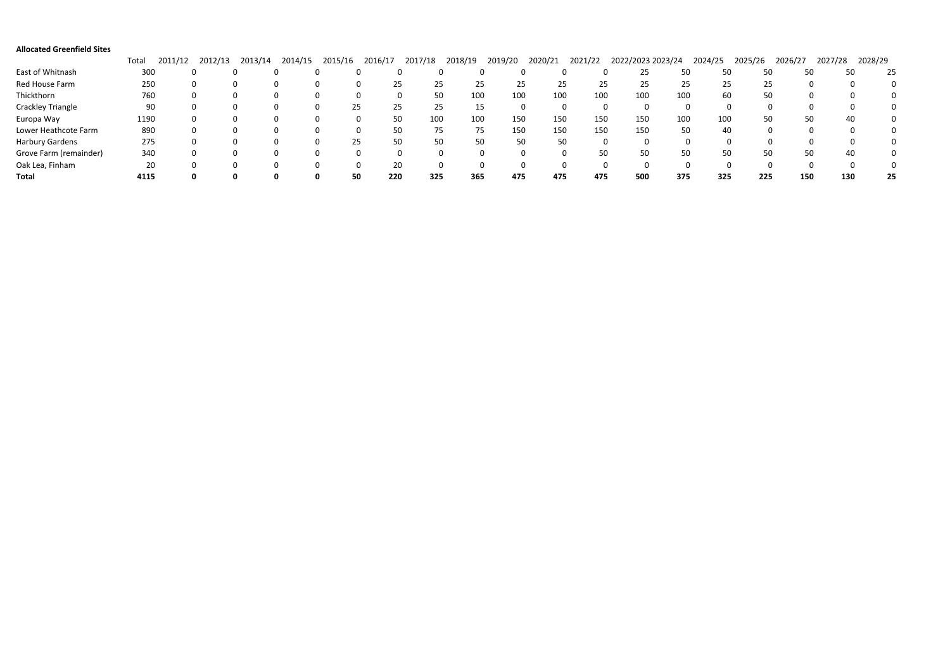| <b>Allocated Greenfield Sites</b> |       |              |         |         |         |         |           |           |         |         |         |         |                   |     |         |         |         |         |         |    |
|-----------------------------------|-------|--------------|---------|---------|---------|---------|-----------|-----------|---------|---------|---------|---------|-------------------|-----|---------|---------|---------|---------|---------|----|
|                                   | Total | 2011<br>1/12 | 2012/13 | 2013/14 | 2014/15 | 2015/16 | 2016/17   | 2017/18   | 2018/19 | 2019/20 | 2020/21 | 2021/22 | 2022/2023 2023/24 |     | 2024/25 | 2025/26 | 2026/27 | 2027/28 | 2028/29 |    |
| East of Whitnash                  | 300   |              |         |         |         |         |           |           |         |         |         |         |                   | 50  | 50      | 50      | 50      |         | 50      | 25 |
| Red House Farm                    | 250   |              |         |         |         |         | 25        | 25        | 25      | 25      |         | 25      | 25<br>25          | 25  | 25      | 25      |         |         |         |    |
| Thickthorn                        | 760   |              |         |         |         |         |           | 50        | 100     | 100     | 100     | 100     | 100               | 100 | 60      | 50      |         |         |         |    |
| Crackley Triangle                 | 90    |              |         |         |         |         | 25<br>25  | 25        |         |         |         |         |                   |     | 0       |         |         |         |         |    |
| Europa Way                        | 1190  |              |         |         |         |         |           | 50<br>100 | 100     | 150     | 150     | 150     | 150               | 100 | 100     | 50      | 50      |         | 40      |    |
| Lower Heathcote Farm              | 890   |              |         |         |         |         |           | 50<br>75  |         | 150     | 150     | 150     | 150               | 50  | 40      |         |         |         |         |    |
| Harbury Gardens                   | 275   |              |         |         |         |         | 25        | 50<br>50  | 50      |         | 50      | 50      |                   |     |         |         |         |         |         |    |
| Grove Farm (remainder)            | 340   |              |         |         |         |         |           |           |         |         |         |         | 50<br>50          | 50  | 50      | 50      | 50      |         | 40      |    |
| Oak Lea, Finham                   | 20    |              |         |         |         |         |           | 20        |         |         |         |         |                   |     |         |         |         |         |         |    |
| <b>Total</b>                      | 4115  |              |         |         |         |         | 220<br>50 | 325       | 365     | 475     | 475     | 475     | 500               | 375 | 325     | 225     | 150     | 130     |         | 25 |